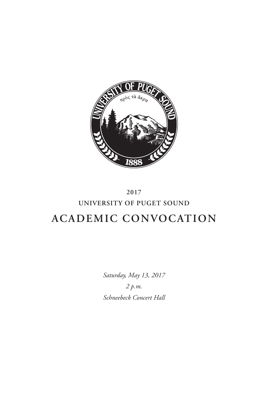

# **2017 UNIVERSITY OF PUGET SOUND ACADEMIC CONVOCATION**

*Saturday, May 13, 2017 2 p.m. Schneebeck Concert Hall*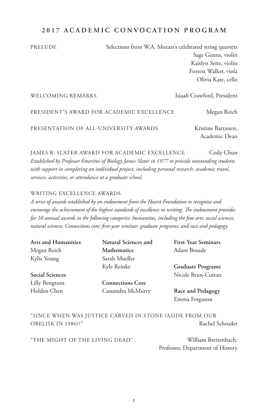# **2017 ACADEMIC CONVOCATION PROGRAM**

PRELUDE Selections from W.A. Mozart's celebrated string quartets Sage Genna, violin Kaitlyn Seitz, violin Forrest Walker, viola Olivia Katz, cello

| WELCOMING REMARKS                         | Isiaah Crawford, President          |
|-------------------------------------------|-------------------------------------|
| PRESIDENT'S AWARD FOR ACADEMIC EXCELLENCE | Megan Reich                         |
| PRESENTATION OF ALL-UNIVERSITY AWARDS     | Kristine Bartanen,<br>Academic Dean |

JAMES R. SLATER AWARD FOR ACADEMIC EXCELLENCE Cody Chun *Established by Professor Emeritus of Biology James Slater in 1977 to provide outstanding students with support in completing an individual project, including personal research, academic travel, services, activities, or attendance at a graduate school.*

# WRITING EXCELLENCE AWARDS

*A series of awards established by an endowment from the Hearst Foundation to recognize and encourage the achievement of the highest standards of excellence in writing. The endowment provides for 10 annual awards in the following categories: humanities, including the fine arts; social sciences; natural sciences; Connections core; first-year seminar; graduate programs; and race and pedagogy.*

| <b>Natural Sciences and</b> | <b>First-Year Seminars</b>         |
|-----------------------------|------------------------------------|
| <b>Mathematics</b>          | Adam Braude                        |
| Sarah Mueller               |                                    |
| Kyle Reinke                 | <b>Graduate Programs</b>           |
|                             | Nicole Brun-Cottan                 |
| <b>Connections Core</b>     |                                    |
| Cassandra McMurry           | Race and Pedagogy<br>Emma Ferguson |
|                             |                                    |

"SINCE WHEN WAS JUSTICE CARVED IN STONE (ASIDE FROM OUR OBELISK IN 1986)?" Rachel Schroder

"THE MIGHT OF THE LIVING DEAD" William Breitenbach,

Professor, Department of History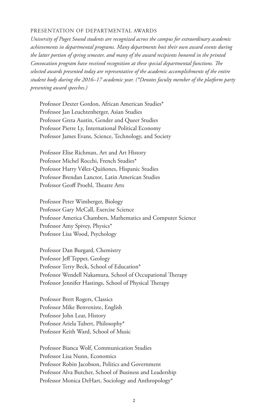#### PRESENTATION OF DEPARTMENTAL AWARDS

*University of Puget Sound students are recognized across the campus for extraordinary academic achievements in departmental programs. Many departments host their own award events during the latter portion of spring semester, and many of the award recipients honored in the printed Convocation program have received recognition at these special departmental functions. The selected awards presented today are representative of the academic accomplishments of the entire student body during the 2016–17 academic year. (\*Denotes faculty member of the platform party presenting award speeches.)*

Professor Dexter Gordon, African American Studies\* Professor Jan Leuchtenberger, Asian Studies Professor Greta Austin, Gender and Queer Studies Professor Pierre Ly, International Political Economy Professor James Evans, Science, Technology, and Society

Professor Elise Richman, Art and Art History Professor Michel Rocchi, French Studies\* Professor Harry V**é**lez-Quiñones, Hispanic Studies Professor Brendan Lanctot, Latin American Studies Professor Geoff Proehl, Theatre Arts

Professor Peter Wimberger, Biology Professor Gary McCall, Exercise Science Professor America Chambers, Mathematics and Computer Science Professor Amy Spivey, Physics\* Professor Lisa Wood, Psychology

Professor Dan Burgard, Chemistry Professor Jeff Tepper, Geology Professor Terry Beck, School of Education\* Professor Wendell Nakamura, School of Occupational Therapy Professor Jennifer Hastings, School of Physical Therapy

Professor Brett Rogers, Classics Professor Mike Benveniste, English Professor John Lear, History Professor Ariela Tubert, Philosophy\* Professor Keith Ward, School of Music

Professor Bianca Wolf, Communication Studies Professor Lisa Nunn, Economics Professor Robin Jacobson, Politics and Government Professor Alva Butcher, School of Business and Leadership Professor Monica DeHart, Sociology and Anthropology\*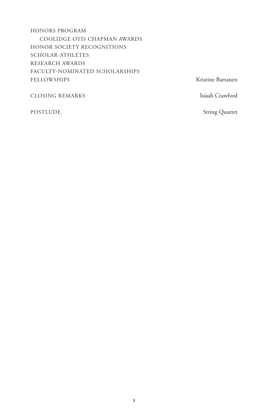HONORS PROGRAM COOLIDGE OTIS CHAPMAN AWARDS HONOR SOCIETY RECOGNITIONS SCHOLAR-ATHLETES RESEARCH AWARDS FACULTY-NOMINATED SCHOLARSHIPS FELLOWSHIPS Kristine Bartanen

CLOSING REMARKS Isiaah Crawford

POSTLUDE String Quartet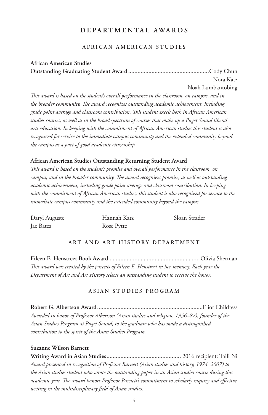# **DEPARTMENTAL AWARDS**

## **AFRICAN AMERICAN STUDIES**

# **African American Studies Outstanding Graduating Student Award ....................................................**Cody Chun Nora Katz Noah Lumbantobing

*This award is based on the student's overall performance in the classroom, on campus, and in the broader community. The award recognizes outstanding academic achievement, including grade point average and classroom contribution. This student excels both in African American studies courses, as well as in the broad spectrum of courses that make up a Puget Sound liberal arts education. In keeping with the commitment of African American studies this student is also recognized for service to the immediate campus community and the extended community beyond the campus as a part of good academic citizenship.*

# **African American Studies Outstanding Returning Student Award**

*This award is based on the student's promise and overall performance in the classroom, on campus, and in the broader community. The award recognizes promise, as well as outstanding academic achievement, including grade point average and classroom contribution. In keeping with the commitment of African American studies, this student is also recognized for service to the immediate campus community and the extended community beyond the campus.*

| Daryl Auguste | Hannah Katz | Sloan Strader |
|---------------|-------------|---------------|
| Jae Bates     | Rose Pytte  |               |

# **ART AND ART HISTORY DEPARTMENT**

**Eileen E. Henstreet Book Award ..........................................................**Olivia Sherman *This award was created by the parents of Eileen E. Henstreet in her memory. Each year the Department of Art and Art History selects an outstanding student to receive the honor.* 

#### **ASIAN STUDIES PROGRAM**

**Robert G. Albertson Award....................................................................**Eliot Childress *Awarded in honor of Professor Albertson (Asian studies and religion, 1956–87), founder of the Asian Studies Program at Puget Sound, to the graduate who has made a distinguished contribution to the spirit of the Asian Studies Program.*

## **Suzanne Wilson Barnett**

**Writing Award in Asian Studies................................................** 2016 recipient: Taili Ni *Award presented in recognition of Professor Barnett (Asian studies and history, 1974–2007) to the Asian studies student who wrote the outstanding paper in an Asian studies course during this academic year. The award honors Professor Barnett's commitment to scholarly inquiry and effective writing in the multidisciplinary field of Asian studies.*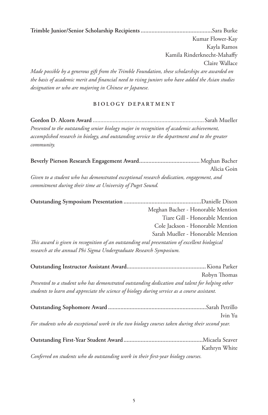**Trimble Junior/Senior Scholarship Recipients..............................................**Sara Burke Kumar Flower-Kay Kayla Ramos Kamila Rinderknecht-Mahaffy Claire Wallace *Made possible by a generous gift from the Trimble Foundation, these scholarships are awarded on the basis of academic merit and financial need to rising juniors who have added the Asian studies designation or who are majoring in Chinese or Japanese.*

# **BIOLOGY DEPARTMENT**

**Gordon D. Alcorn Award** .........................................................................Sarah Mueller *Presented to the outstanding senior biology major in recognition of academic achievement, accomplished research in biology, and outstanding service to the department and to the greater community.*

**Beverly Pierson Research Engagement Award.......................................**Meghan Bacher Alicia Goin *Given to a student who has demonstrated exceptional research dedication, engagement, and commitment during their time at University of Puget Sound.*

**Outstanding Symposium Presentation ..................................................**Danielle Dixon Meghan Bacher - Honorable Mention Tiare Gill - Honorable Mention Cole Jackson - Honorable Mention Sarah Mueller - Honorable Mention *This award is given in recognition of an outstanding oral presentation of excellent biological* 

*research at the annual Phi Sigma Undergraduate Research Symposium.*

|                                                                                                 | Robyn Thomas  |
|-------------------------------------------------------------------------------------------------|---------------|
| Presented to a student who has demonstrated outstanding dedication and talent for helping other |               |
| students to learn and appreciate the science of biology during service as a course assistant.   |               |
|                                                                                                 |               |
|                                                                                                 | Ivin Yu       |
| For students who do exceptional work in the two biology courses taken during their second year. |               |
|                                                                                                 |               |
|                                                                                                 | Kathryn White |
| Confirmed on an Index who do antition fine mode in their first man bighers accurate             |               |

*Conferred on students who do outstanding work in their first-year biology courses.*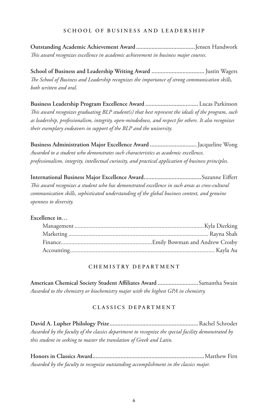## **SCHOOL OF BUSINESS AND LEADERSHIP**

**Outstanding Academic Achievement Award......................................**Jensen Handwork *This award recognizes excellence in academic achievement in business major courses.*

**School of Business and Leadership Writing Award ..................................** Justin Wagers *The School of Business and Leadership recognizes the importance of strong communication skills, both written and oral.*

**Business Leadership Program Excellence Award ..................................** Lucas Parkinson *This award recognizes graduating BLP student(s) that best represent the ideals of the program, such as leadership, professionalism, integrity, open-mindedness, and respect for others. It also recognizes their exemplary endeavors in support of the BLP and the university.*

**Business Administration Major Excellence Award ..............................** Jacqueline Wong *Awarded to a student who demonstrates such characteristics as academic excellence, professionalism, integrity, intellectual curiosity, and practical application of business principles.*

**International Business Major Excellence Award.....................................**Suzanne Eiffert *This award recognizes a student who has demonstrated excellence in such areas as cross-cultural communication skills, sophisticated understanding of the global business context, and genuine openness to diversity.*

## **Excellence in…**

## **CHEMISTRY DEPARTMENT**

**American Chemical Society Student Affiliates Award ..........................**Samantha Swain *Awarded to the chemistry or biochemistry major with the highest GPA in chemistry.*

# **CLASSICS DEPARTMENT**

**David A. Lupher Philology Prize.........................................................**Rachel Schroder *Awarded by the faculty of the classics department to recognize the special facility demonstrated by this student in seeking to master the translation of Greek and Latin.*

**Honors in Classics Award........................................................................**Matthew Firn *Awarded by the faculty to recognize outstanding accomplishment in the classics major.*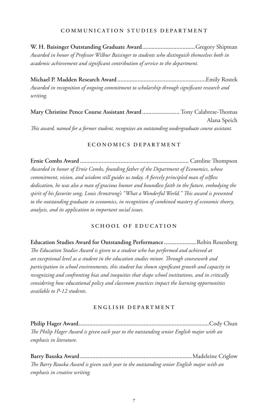## **COMMUNICATION STUDIES DEPARTMENT**

**W. H. Baisinger Outstanding Graduate Award..................................**Gregory Shipman *Awarded in honor of Professor Wilbur Baisinger to students who distinguish themselves both in academic achievement and significant contribution of service to the department.*

**Michael P. Madden Research Award .........................................................**Emily Rostek *Awarded in recognition of ongoing commitment to scholarship through significant research and writing.*

**Mary Christine Pence Course Assistant Award ........................** Tony Calabrese-Thomas Alana Speich *This award, named for a former student, recognizes an outstanding undergraduate course assistant.*

#### **E C O N O M I C S D E P A R T M E N T**

**Ernie Combs Award ......................................................................** Caroline Thompson *Awarded in honor of Ernie Combs, founding father of the Department of Economics, whose commitment, vision, and wisdom still guides us today. A fiercely principled man of selfless dedication, he was also a man of gracious humor and boundless faith in the future, embodying the spirit of his favorite song, Louis Armstrong's "What a Wonderful World." This award is presented to the outstanding graduate in economics, in recognition of combined mastery of economic theory, analysis, and its application to important social issues.* 

# **SCHOOL OF EDUCATION**

**Education Studies Award for Outstanding Performance .....................**Robin Rosenberg *The Education Studies Award is given to a student who has performed and achieved at an exceptional level as a student in the education studies minor. Through coursework and participation in school environments, this student has shown significant growth and capacity in recognizing and confronting bias and inequities that shape school institutions, and in critically considering how educational policy and classroom practices impact the learning opportunities available to P-12 students.*

## **ENGLISH DEPARTMENT**

**Philip Hager Award....................................................................................**Cody Chun *The Philip Hager Award is given each year to the outstanding senior English major with an emphasis in literature.* 

**Barry Bauska Award ........................................................................**Madeleine Criglow *The Barry Bauska Award is given each year to the outstanding senior English major with an emphasis in creative writing.*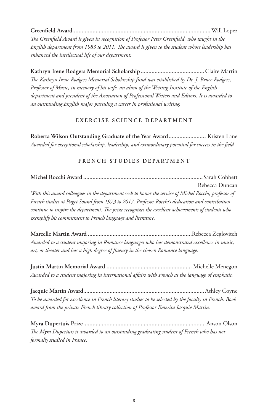**Greenfield Award.........................................................................................**Will Lopez

*The Greenfield Award is given in recognition of Professor Peter Greenfield, who taught in the English department from 1983 to 2011. The award is given to the student whose leadership has enhanced the intellectual life of our department.*

**Kathryn Irene Rodgers Memorial Scholarship.........................................**Claire Martin *The Kathryn Irene Rodgers Memorial Scholarship fund was established by Dr. J. Bruce Rodgers, Professor of Music, in memory of his wife, an alum of the Writing Institute of the English department and president of the Association of Professional Writers and Editors. It is awarded to an outstanding English major pursuing a career in professional writing.*

# **EXERCISE SCIENCE DEPARTMENT**

**Roberta Wilson Outstanding Graduate of the Year Award........................** Kristen Lane *Awarded for exceptional scholarship, leadership, and extraordinary potential for success in the field.*

# **FRENCH STUDIES DEPARTMENT**

**Michel Rocchi Award .............................................................................**Sarah Cobbett Rebecca Duncan *With this award colleagues in the department seek to honor the service of Michel Rocchi, professor of French studies at Puget Sound from 1973 to 2017. Professor Rocchi's dedication and contribution continue to inspire the department. The prize recognizes the excellent achievements of students who exemplify his commitment to French language and literature.*

**Marcelle Martin Award ...................................................................**Rebecca Zeglovitch *Awarded to a student majoring in Romance languages who has demonstrated excellence in music, art, or theater and has a high degree of fluency in the chosen Romance language.*

**Justin Martin Memorial Award .......................................................** Michelle Menegon *Awarded to a student majoring in international affairs with French as the language of emphasis.*

**Jacquie Martin Award..............................................................................**Ashley Coyne *To be awarded for excellence in French literary studies to be selected by the faculty in French. Book award from the private French library collection of Professor Emerita Jacquie Martin.*

**Myra Dupertuis Prize...............................................................................**Anson Olson *The Myra Dupertuis is awarded to an outstanding graduating student of French who has not formally studied in France.*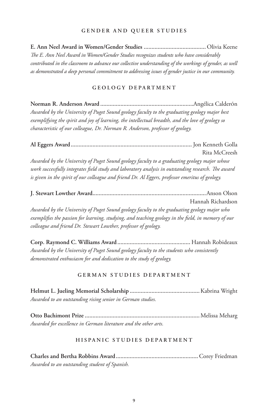#### **GENDER AND QUEER STUDIES**

**E. Ann Neel Award in Women/Gender Studies ........................................** Olivia Keene *The E. Ann Neel Award in Women/Gender Studies recognizes students who have considerably contributed in the classroom to advance our collective understanding of the workings of gender, as well as demonstrated a deep personal commitment to addressing issues of gender justice in our community.*

# **GEOLOGY DEPARTMENT**

**Norman R. Anderson Award ............................................................**Angélica CalderÓn *Awarded by the University of Puget Sound geology faculty to the graduating geology major best exemplifying the spirit and joy of learning, the intellectual breadth, and the love of geology so characteristic of our colleague, Dr. Norman R. Anderson, professor of geology.*

**Al Eggers Award..............................................................................** Jon Kenneth Golla Rita McCreesh *Awarded by the University of Puget Sound geology faculty to a graduating geology major whose work successfully integrates field study and laboratory analysis in outstanding research. The award is given in the spirit of our colleague and friend Dr. Al Eggers, professor emeritus of geology.*

**J. Stewart Lowther Award.........................................................................**Anson Olson Hannah Richardson *Awarded by the University of Puget Sound geology faculty to the graduating geology major who exemplifies the passion for learning, studying, and teaching geology in the field, in memory of our colleague and friend Dr. Stewart Lowther, professor of geology.*

**Corp. Raymond C. Williams Award...............................................** Hannah Robideaux *Awarded by the University of Puget Sound geology faculty to the students who consistently demonstrated enthusiasm for and dedication to the study of geology.*

## **GERMAN STUDIES DEPARTMENT**

**Helmut L. Jueling Memorial Scholarship .............................................**Kabrina Wright *Awarded to an outstanding rising senior in German studies.*

**Otto Bachimont Prize ..........................................................................**Melissa Meharg *Awarded for excellence in German literature and the other arts.*

## **HISPANIC STUDIES DEPARTMENT**

**Charles and Bertha Robbins Award.....................................................**Corey Friedman *Awarded to an outstanding student of Spanish.*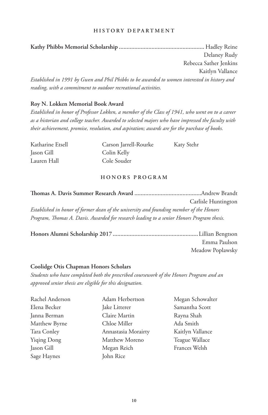## **HISTORY DEPARTMENT**

**Kathy Phibbs Memorial Scholarship .......................................................** Hadley Reine Delaney Rudy Rebecca Sather Jenkins Kaitlyn Vallance *Established in 1991 by Gwen and Phil Phibbs to be awarded to women interested in history and reading, with a commitment to outdoor recreational activities.*

#### **Roy N. Lokken Memorial Book Award**

*Established in honor of Professor Lokken, a member of the Class of 1941, who went on to a career as a historian and college teacher. Awarded to selected majors who have impressed the faculty with their achievement, promise, resolution, and aspiration; awards are for the purchase of books.*

| Katharine Etsell | Carson Jarrell-Rourke | Katy Stehr |
|------------------|-----------------------|------------|
| Jason Gill       | Colin Kelly           |            |
| Lauren Hall      | Cole Souder           |            |

#### **HONORS PROGRAM**

**Thomas A. Davis Summer Research Award ...........................................**Andrew Brandt Carlisle Huntington *Established in honor of former dean of the university and founding member of the Honors Program, Thomas A. Davis. Awarded for research leading to a senior Honors Program thesis.*

**Honors Alumni Scholarship 2017.......................................................**Lillian Bengtson Emma Paulson Meadow Poplawsky

#### **Coolidge Otis Chapman Honors Scholars**

*Students who have completed both the prescribed coursework of the Honors Program and an approved senior thesis are eligible for this designation.*

| Rachel Anderson | Adam Herbertson     | Megan Schowalter |
|-----------------|---------------------|------------------|
| Elena Becker    | Jake Litterer       | Samantha Scott   |
| Janna Berman    | Claire Martin       | Rayna Shah       |
| Matthew Byrne   | Chloe Miller        | Ada Smith        |
| Tara Conley     | Annastasia Morairty | Kaitlyn Vallance |
| Yiging Dong     | Matthew Moreno      | Teague Wallace   |
| Jason Gill      | Megan Reich         | Frances Welsh    |
| Sage Haynes     | John Rice           |                  |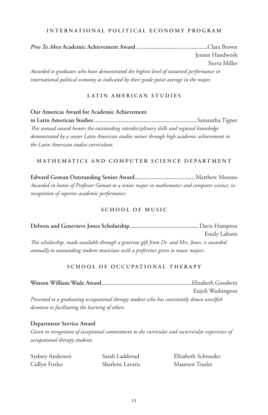#### **INTERNATIONAL POLITICAL ECONOMY PROGRAM**

*Pros Ta Akra* **Academic Achievement Award ..............................................**Clara Brown Jensen Handwork Sierra Miller *Awarded to graduates who have demonstrated the highest level of sustained performance in international political economy as indicated by their grade point average in the major.*

## **LATIN AMERICAN STUDIES**

# **Our Americas Award for Academic Achievement**

**in Latin American Studies..................................................................**Samantha Tigner *This annual award honors the outstanding interdisciplinary skills and regional knowledge demonstrated by a senior Latin American studies minor through high academic achievement in the Latin American studies curriculum.* 

## **MATHEMATICS AND COMPUTER SCIENCE DEPARTMENT**

**Edward Goman Outstanding Senior Award.......................................**Matthew Moreno *Awarded in honor of Professor Goman to a senior major in mathematics and computer science, in recognition of superior academic performance.*

# **SCHOOL OF MUSIC**

**Delwen and Genevieve Jones Scholarship............................................** Davis Hampton Emily Laliotis *This scholarship, made available through a generous gift from Dr. and Mrs. Jones, is awarded annually to outstanding student musicians with a preference given to music majors.*

# **SCHOOL OF OCCUPATIONAL THERAPY**

**Watson William Wade Award..........................................................**Elizabeth Goodwin Enjoli Washington *Presented to a graduating occupational therapy student who has consistently shown unselfish devotion to facilitating the learning of others.*

## **Department Service Award**

*Given in recognition of exceptional commitment to the curricular and cocurricular experience of occupational therapy students.*

| Sydney Anderson | Sarah Ladderud   | Elizabeth Schroeder |
|-----------------|------------------|---------------------|
| Cullyn Foxlee   | Sharlene Lavaris | Maureen Traxler     |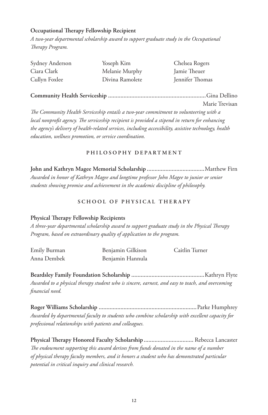# **Occupational Therapy Fellowship Recipient**

*A two-year departmental scholarship award to support graduate study in the Occupational Therapy Program.*

| Sydney Anderson | Yoseph Kim      | Chelsea Rogers  |
|-----------------|-----------------|-----------------|
| Ciara Clark     | Melanie Murphy  | Jamie Theuer    |
| Cullyn Foxlee   | Divina Ramolete | Jennifer Thomas |

**Community Health Serviceship ...............................................................**Gina Dellino

Marie Trevisan

*The Community Health Serviceship entails a two-year commitment to volunteering with a local nonprofit agency. The serviceship recipient is provided a stipend in return for enhancing the agency's delivery of health-related services, including accessibility, assistive technology, health education, wellness promotion, or service coordination.*

# **PHILOSOPHY DEPARTMENT**

**John and Kathryn Magee Memorial Scholarship .....................................**Matthew Firn *Awarded in honor of Kathryn Magee and longtime professor John Magee to junior or senior students showing promise and achievement in the academic discipline of philosophy.*

# **SCHOOL OF PHYSICAL THERAPY**

# **Physical Therapy Fellowship Recipients**

*A three-year departmental scholarship award to support graduate study in the Physical Therapy Program, based on extraordinary quality of application to the program.*

| Emily Burman | Benjamin Gilkison | Caitlin Turner |
|--------------|-------------------|----------------|
| Anna Dembek  | Benjamin Hannula  |                |

**Beardsley Family Foundation Scholarship ...............................................**Kathryn Flyte *Awarded to a physical therapy student who is sincere, earnest, and easy to teach, and overcoming financial need.*

**Roger Williams Scholarship ...............................................................**Parke Humphrey *Awarded by departmental faculty to students who combine scholarship with excellent capacity for professional relationships with patients and colleagues.*

**Physical Therapy Honored Faculty Scholarship................................** Rebecca Lancaster *The endowment supporting this award derives from funds donated in the name of a number of physical therapy faculty members, and it honors a student who has demonstrated particular potential in critical inquiry and clinical research.*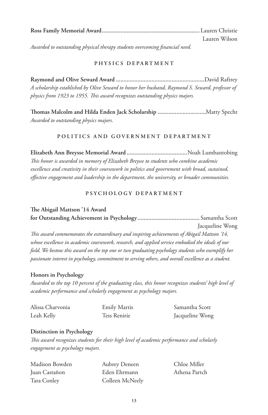| Lauren Wilson |
|---------------|

*Awarded to outstanding physical therapy students overcoming financial need.*

# **PHYSICS DEPARTMENT**

**Raymond and Olive Seward Award .........................................................**David Raftrey *A scholarship established by Olive Seward to honor her husband, Raymond S. Seward, professor of physics from 1923 to 1955. This award recognizes outstanding physics majors.*

**Thomas Malcolm and Hilda Enden Jack Scholarship ...............................**Matty Specht *Awarded to outstanding physics majors.*

# **POLITICS AND GOVERNMENT DEPARTMENT**

**Elizabeth Ann Breysse Memorial Award .......................................**Noah Lumbantobing *This honor is awarded in memory of Elizabeth Breysse to students who combine academic excellence and creativity in their coursework in politics and government with broad, sustained, effective engagement and leadership in the department, the university, or broader communities.*

# **PSYCHOLOGY DEPARTMENT**

# **The Abigail Mattson '14 Award**

**for Outstanding Achievement in Psychology........................................** Samantha Scott Jacqueline Wong *This award commemorates the extraordinary and inspiring achievements of Abigail Mattson '14, whose excellence in academic coursework, research, and applied service embodied the ideals of our field. We bestow this award on the top one or two graduating psychology students who exemplify her passionate interest in psychology, commitment to serving others, and overall excellence as a student.*

# **Honors in Psychology**

*Awarded to the top 10 percent of the graduating class, this honor recognizes students' high level of academic performance and scholarly engagement as psychology majors.*

| Alissa Charvonia | <b>Emily Martis</b> | Samantha Scott  |
|------------------|---------------------|-----------------|
| Leah Kelly       | Tess Renirie        | Jacqueline Wong |

# **Distinction in Psychology**

*This award recognizes students for their high level of academic performance and scholarly engagement as psychology majors.*

| Madison Bowden | Aubrey Deneen   | Chloe Miller  |
|----------------|-----------------|---------------|
| Juan Castañon  | Eden Ehrmann    | Athena Partch |
| Tara Conley    | Colleen McNeely |               |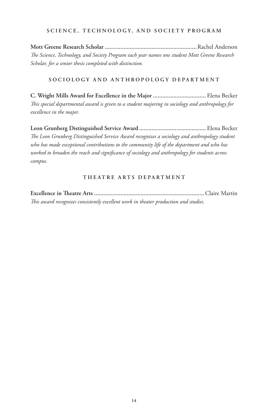## **SCIENCE, TECHNOLOGY, AND SOCIETY PROGRAM**

**Mott Greene Research Scholar ...........................................................**Rachel Anderson *The Science, Technology, and Society Program each year names one student Mott Greene Research Scholar, for a senior thesis completed with distinction.*

# **SOCIOLOGY AND ANTHROPOLOGY DEPARTMENT**

**C. Wright Mills Award for Excellence in the Major ..................................** Elena Becker *This special departmental award is given to a student majoring in sociology and anthropology for excellence in the major.*

**Leon Grunberg Distinguished Service Award ...........................................** Elena Becker *The Leon Grunberg Distinguished Service Award recognizes a sociology and anthropology student who has made exceptional contributions to the community life of the department and who has worked to broaden the reach and significance of sociology and anthropology for students across campus.*

## **THEATRE ARTS DEPARTMENT**

**Excellence in Theatre Arts .......................................................................**Claire Martin *This award recognizes consistently excellent work in theater production and studies.*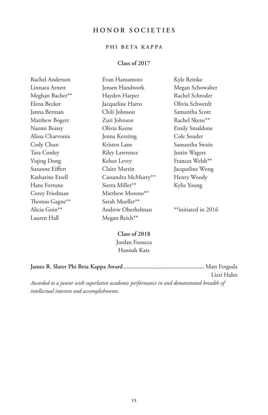# **HONOR SOCIETIES**

# **PHI BETA KAPPA**

# **Class of 2017**

| Rachel Anderson  | Evan Hamamoto         | Kyle Reinke           |
|------------------|-----------------------|-----------------------|
| Linnaea Arnett   | Jensen Handwork       | Megan Schowalter      |
| Meghan Bacher**  | Hayden Harper         | Rachel Schroder       |
| Elena Becker     | Jacqueline Harro      | Olivia Schwerdt       |
| Janna Berman     | Chili Johnson         | Samantha Scott        |
| Matthew Bogert   | Zuri Johnson          | Rachel Skene**        |
| Naomi Boissy     | Olivia Keene          | <b>Emily Smaldone</b> |
| Alissa Charvonia | Jenna Kersting        | Cole Souder           |
| Cody Chun        | Kristen Lane          | Samantha Swain        |
| Tara Conley      | <b>Riley Lawrence</b> | Justin Wagers         |
| Yiqing Dong      | Kelsee Levey          | Frances Welsh**       |
| Suzanne Eiffert  | Claire Martin         | Jacqueline Wong       |
| Katharine Etsell | Cassandra McMurry**   | Henry Woody           |
| Hans Fortune     | Sierra Miller**       | Kylie Young           |
| Corey Friedman   | Matthew Moreno**      |                       |
| Thomas Gagne**   | Sarah Mueller**       |                       |
| Alicia Goin**    | Andrew Oberhelman     | **initiated in 2016   |
| Lauren Hall      | Megan Reich**         |                       |

**Class of 2018** Jordan Fonseca Hannah Katz

|                                                                                          | Lizzi Hahn |
|------------------------------------------------------------------------------------------|------------|
| Awarded to a junior with superlative academic performance in and demonstrated breadth of |            |

*intellectual interests and accomplishments.*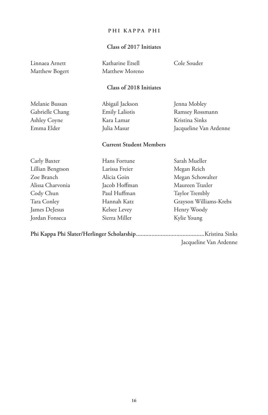## **PHI KAPPA PHI**

# **Class of 2017 Initiates**

Linnaea Arnett Matthew Bogert Katharine Etsell Matthew Moreno Cole Souder

# **Class of 2018 Initiates**

Melanie Bussan Gabrielle Chang Ashley Coyne Emma Elder

Abigail Jackson Emily Laliotis Kara Lamar Julia Masur

Jenna Mobley Ramsey Rossmann Kristina Sinks Jacqueline Van Ardenne

# **Current Student Members**

| Carly Baxter     | Hans Fortune   | Sarah Mueller          |
|------------------|----------------|------------------------|
| Lillian Bengtson | Larissa Freier | Megan Reich            |
| Zoe Branch       | Alicia Goin    | Megan Schowalter       |
| Alissa Charvonia | Jacob Hoffman  | Maureen Traxler        |
| Cody Chun        | Paul Huffman   | Taylor Trembly         |
| Tara Conley      | Hannah Katz    | Grayson Williams-Krebs |
| James DeJesus    | Kelsee Levey   | Henry Woody            |
| Jordan Fonseca   | Sierra Miller  | Kylie Young            |
|                  |                |                        |

**Phi Kappa Phi Slater/Herlinger Scholarship............................................**Kristina Sinks Jacqueline Van Ardenne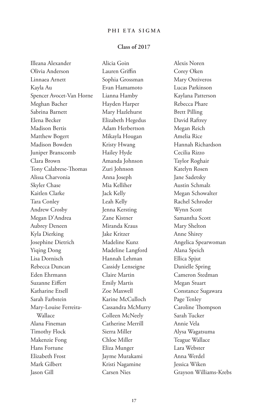# **PHI ETA SIGMA**

#### **Class of 2017**

Illeana Alexander Olivia Anderson Linnaea Arnett Kayla Au Spencer Avocet-Van Horne Meghan Bacher Sabrina Barnett Elena Becker Madison Bertis Matthew Bogert Madison Bowden Juniper Branscomb Clara Brown Tony Calabrese-Thomas Alissa Charvonia Skyler Chase Kaitlen Clarke Tara Conley Andrew Crosby Megan D'Andrea Aubrey Deneen Kyla Dierking Josephine Dietrich Yiqing Dong Lisa Dornisch Rebecca Duncan Eden Ehrmann Suzanne Eiffert Katharine Etsell Sarah Farbstein Mary-Louise Ferreira-Wallace Alana Fineman Timothy Flock Makenzie Fong Hans Fortune Elizabeth Frost Mark Gilbert Jason Gill

Alicia Goin Lauren Griffin Sophia Grossman Evan Hamamoto Lianna Hamby Hayden Harper Mary Hazlehurst Elizabeth Hegedus Adam Herbertson Mikayla Hougan Kristy Hwang Hailey Hyde Amanda Johnson Zuri Johnson Anna Joseph Mia Kelliher Jack Kelly Leah Kelly Jenna Kersting Zane Kistner Miranda Kraus Jake Kritzer Madeline Kunz Madeline Langford Hannah Lehman Cassidy Lenseigne Claire Martin Emily Martis Zoe Maxwell Karine McCulloch Cassandra McMurry Colleen McNeely Catherine Merrill Sierra Miller Chloe Miller Eliza Munger Jayme Murakami Kristi Nagamine Carsen Nies

Alexis Noren Corey Oken Mary Ontiveros Lucas Parkinson Kaylana Patterson Rebecca Phare Brett Pilling David Raftrey Megan Reich Amelia Rice Hannah Richardson Cecilia Rizzo Taylor Roghair Katelyn Rosen Jane Sadetsky Austin Schmalz Megan Schowalter Rachel Schroder Wynn Scott Samantha Scott Mary Shelton Anne Shirey Angelica Spearwoman Alana Speich Ellica Spjut Danielle Spring Cameron Stedman Megan Stuart Constance Sugawara Page Tenley Caroline Thompson Sarah Tucker Annie Vela Alysa Wagatsuma Teague Wallace Lara Webster Anna Werdel Jessica Wiken Grayson Williams-Krebs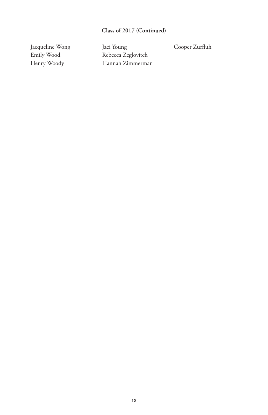# **Class of 2017 (Continued)**

Jacqueline Wong Emily Wood Henry Woody

Jaci Young Rebecca Zeglovitch Hannah Zimmerman Cooper Zurfluh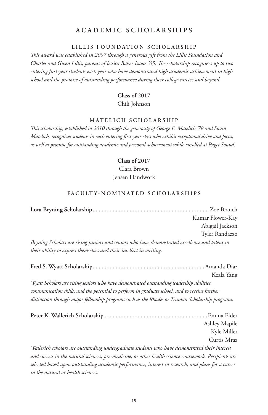# **ACADEMIC SCHOLARSHIPS**

## **LILLIS FOUNDATION SCHOLARSHIP**

*This award was established in 2007 through a generous gift from the Lillis Foundation and Charles and Gwen Lillis, parents of Jessica Baker Isaacs '05. The scholarship recognizes up to two entering first-year students each year who have demonstrated high academic achievement in high school and the promise of outstanding performance during their college careers and beyond.*

# **Class of 2017** Chili Johnson

#### **MATELICH SCHOLARSHIP**

*This scholarship, established in 2010 through the generosity of George E. Matelich '78 and Susan Matelich, recognizes students in each entering first-year class who exhibit exceptional drive and focus, as well as promise for outstanding academic and personal achievement while enrolled at Puget Sound.*

#### **Class of 2017**

Clara Brown Jensen Handwork

#### FACULTY-NOMINATED SCHOLARSHIPS

|                                                                                                | Kumar Flower-Kay |
|------------------------------------------------------------------------------------------------|------------------|
|                                                                                                | Abigail Jackson  |
|                                                                                                | Tyler Randazzo   |
| Bryning Scholars are rising juniors and seniors who have demonstrated excellence and talent in |                  |
| their ability to express themselves and their intellect in writing.                            |                  |

|                                                                                                       | Keala Yang    |
|-------------------------------------------------------------------------------------------------------|---------------|
| Wyatt Scholars are rising seniors who have demonstrated outstanding leadership abilities,             |               |
| communication skills, and the potential to perform in graduate school, and to receive further         |               |
| distinction through major fellowship programs such as the Rhodes or Truman Scholarship programs.      |               |
|                                                                                                       |               |
|                                                                                                       | Ashley Mapile |
|                                                                                                       | Kyle Miller   |
|                                                                                                       | Curtis Mraz   |
| Wallerich scholars are outstanding undergraduate students who have demonstrated their interest        |               |
| and success in the natural sciences, pre-medicine, or other health science coursework. Recipients are |               |
| selected based upon outstanding academic performance, interest in research, and plans for a career    |               |

*in the natural or health sciences.*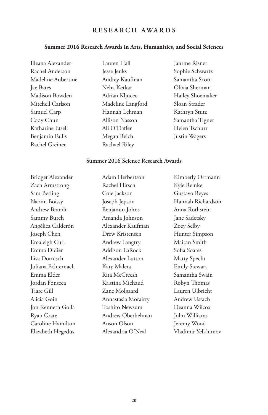# **RESEARCH AWARDS**

#### **Summer 2016 Research Awards in Arts, Humanities, and Social Sciences**

Illeana Alexander Rachel Anderson Madeline Aubertine Jae Bates Madison Bowden Mitchell Carlson Samuel Carp Cody Chun Katharine Etsell Benjamin Fallis Rachel Greiner

Lauren Hall Jesse Jenks Audrey Kaufman Neha Ketkar Adrian Kljucec Madeline Langford Hannah Lehman Allison Nasson Ali O'Daffer Megan Reich Rachael Riley

Jahrme Risner Sophie Schwartz Samantha Scott Olivia Sherman Hailey Shoemaker Sloan Strader Kathryn Stutz Samantha Tigner Helen Tschurr Justin Wagers

## **Summer 2016 Science Research Awards**

Bridget Alexander Zach Armstrong Sam Berling Naomi Boissy Andrew Brandt Sammy Burch Angélica Calderón Joseph Chen Emaleigh Curl Emma Didier Lisa Dornisch Juliana Echternach Emma Elder Jordan Fonseca Tiare Gill Alicia Goin Jon Kenneth Golla Ryan Grate Caroline Hamilton Elizabeth Hegedus Adam Herbertson Rachel Hirsch Cole Jackson Joseph Jepson Benjamin Johns Amanda Johnson Alexander Kaufman Drew Kristensen Andrew Langtry Addison LaRock Alexander Lutton Katy Maleta Rita McCreesh Kristina Michaud Zane Molgaard Annastasia Morairty Toshiro Newsum Andrew Oberhelman Anson Olson Alexandria O'Neal Kimberly Ortmann Kyle Reinke Gustavo Reyes Hannah Richardson Anna Rothstein Jane Sadetsky Zoey Selby Hunter Simpson Mairan Smith Sofia Soares Matty Specht Emily Stewart Samantha Swain Robyn Thomas Lauren Ulbricht Andrew Ustach Deanna Wilcox John Williams Jeremy Wood Vladimir Yelkhimov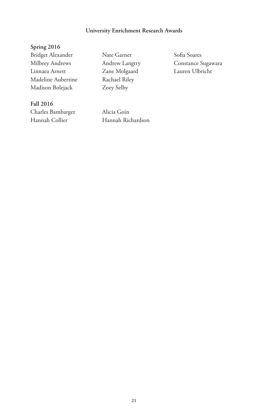# **University Enrichment Research Awards**

**Spring 2016** Bridget Alexander Milbrey Andrews Linnaea Arnett Madeline Aubertine Madison Bolejack

**Fall 2016** Charles Bambarger Hannah Collier

Nate Garner Andrew Langtry Zane Molgaard Rachael Riley Zoey Selby

Alicia Goin Hannah Richardson Sofia Soares Constance Sugawara Lauren Ulbricht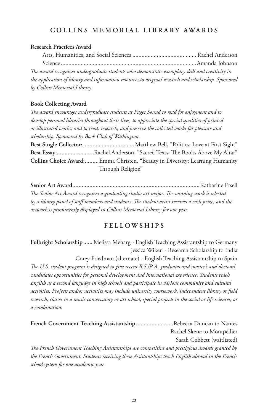# **COLLINS MEMORIAL LIBRARY AWARDS**

## **Research Practices Award**

Arts, Humanities, and Social Sciences .......................................... Rachel Anderson Science.........................................................................................Amanda Johnson *The award recognizes undergraduate students who demonstrate exemplary skill and creativity in the application of library and information resources to original research and scholarship. Sponsored by Collins Memorial Library.*

# **Book Collecting Award**

*The award encourages undergraduate students at Puget Sound to read for enjoyment and to develop personal libraries throughout their lives; to appreciate the special qualities of printed or illustrated works; and to read, research, and preserve the collected works for pleasure and scholarship. Sponsored by Book Club of Washington.* **Best Single Collector: .................................**Matthew Bell, "Politics: Love at First Sight" **Best Essay:........................**Rachel Anderson, "Sacred Texts: The Books Above My Altar" **Collins Choice Award:.........**Emma Christen, "Beauty in Diversity: Learning Humanity Through Religion"

**Senior Art Award..................................................................................**Katharine Etsell *The Senior Art Award recognizes a graduating studio art major. The winning work is selected by a library panel of staff members and students. The student artist receives a cash prize, and the artwork is prominently displayed in Collins Memorial Library for one year.*

# **FELLOWSHIPS**

**Fulbright Scholarship......** Melissa Meharg - English Teaching Assistantship to Germany Jessica Wiken - Research Scholarship to India

Corey Friedman (alternate) - English Teaching Assistantship to Spain

*The U.S. student program is designed to give recent B.S./B.A. graduates and master's and doctoral candidates opportunities for personal development and international experience. Students teach English as a second language in high schools and participate in various community and cultural activities. Projects and/or activities may include university coursework, independent library or field research, classes in a music conservatory or art school, special projects in the social or life sciences, or a combination.*

**French Government Teaching Assistantship ........................**Rebecca Duncan to Nantes Rachel Skene to Montpellier Sarah Cobbett (waitlisted) *The French Government Teaching Assistantships are competitive and prestigious awards granted by the French Government. Students receiving these Assistantships teach English abroad in the French*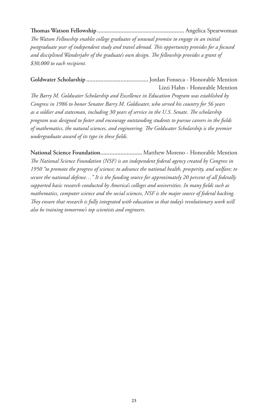# **Thomas Watson Fellowship ........................................................** Angelica Spearwoman

*The Watson Fellowship enables college graduates of unusual promise to engage in an initial postgraduate year of independent study and travel abroad. This opportunity provides for a focused and disciplined Wanderjahr of the graduate's own design. The fellowship provides a grant of \$30,000 to each recipient.*

**Goldwater Scholarship ........................................**Jordan Fonseca - Honorable Mention Lizzi Hahn - Honorable Mention

*The Barry M. Goldwater Scholarship and Excellence in Education Program was established by Congress in 1986 to honor Senator Barry M. Goldwater, who served his country for 56 years as a soldier and statesman, including 30 years of service in the U.S. Senate. The scholarship program was designed to foster and encourage outstanding students to pursue careers in the fields of mathematics, the natural sciences, and engineering. The Goldwater Scholarship is the premier undergraduate award of its type in these fields.*

**National Science Foundation...........................** Matthew Moreno - Honorable Mention *The National Science Foundation (NSF) is an independent federal agency created by Congress in 1950 "to promote the progress of science; to advance the national health, prosperity, and welfare; to secure the national defense…" It is the funding source for approximately 20 percent of all federally supported basic research conducted by America's colleges and universities. In many fields such as mathematics, computer science and the social sciences, NSF is the major source of federal backing. They ensure that research is fully integrated with education so that today's revolutionary work will also be training tomorrow's top scientists and engineers.*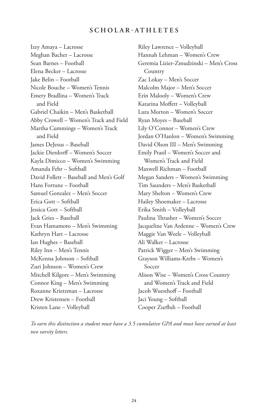# **SCHOLAR-ATHLETES**

Izzy Amaya – Lacrosse Meghan Bacher – Lacrosse Sean Barnes – Football Elena Becker – Lacrosse Jake Belin – Football Nicole Bouche – Women's Tennis Emery Bradlina – Women's Track and Field Gabriel Chaikin – Men's Basketball Abby Crowell – Women's Track and Field Martha Cummings – Women's Track and Field James DeJesus – Baseball Jackie Dierdorff – Women's Soccer Kayla Dimicco – Women's Swimming Amanda Fehr – Softball David Follett – Baseball and Men's Golf Hans Fortune – Football Samuel Gonzalez – Men's Soccer Erica Gott – Softball Jessica Gott – Softball Jack Gries – Baseball Evan Hamamoto – Men's Swimming Kathryn Hart – Lacrosse Ian Hughes – Baseball Riley Inn – Men's Tennis McKenna Johnson – Softball Zuri Johnson – Women's Crew Mitchell Kilgore – Men's Swimming Connor King – Men's Swimming Roxanne Krietzman – Lacrosse Drew Kristensen – Football Kristen Lane – Volleyball

Riley Lawrence – Volleyball Hannah Lehman – Women's Crew Geremia Lizier-Zmudzinski – Men's Cross Country Zac Lokay – Men's Soccer Malcolm Major – Men's Soccer Erin Malooly – Women's Crew Katarina Moffett – Volleyball Lura Morton – Women's Soccer Ryan Moyes – Baseball Lily O'Connor – Women's Crew Jordan O'Hanlon – Women's Swimming David Olson III – Men's Swimming Emily Prasil – Women's Soccer and Women's Track and Field Maxwell Richman – Football Megan Sanders – Women's Swimming Tim Saunders – Men's Basketball Mary Shelton – Women's Crew Hailey Shoemaker – Lacrosse Erika Smith – Volleyball Paulina Thrasher – Women's Soccer Jacqueline Van Ardenne – Women's Crew Maggie Van Weele – Volleyball Ali Walker – Lacrosse Patrick Wigger – Men's Swimming Grayson Williams-Krebs – Women's Soccer Alison Wise – Women's Cross Country and Women's Track and Field Jacob Wuesthoff – Football Jaci Young – Softball Cooper Zurfluh – Football

*To earn this distinction a student must have a 3.5 cumulative GPA and must have earned at least two varsity letters.*